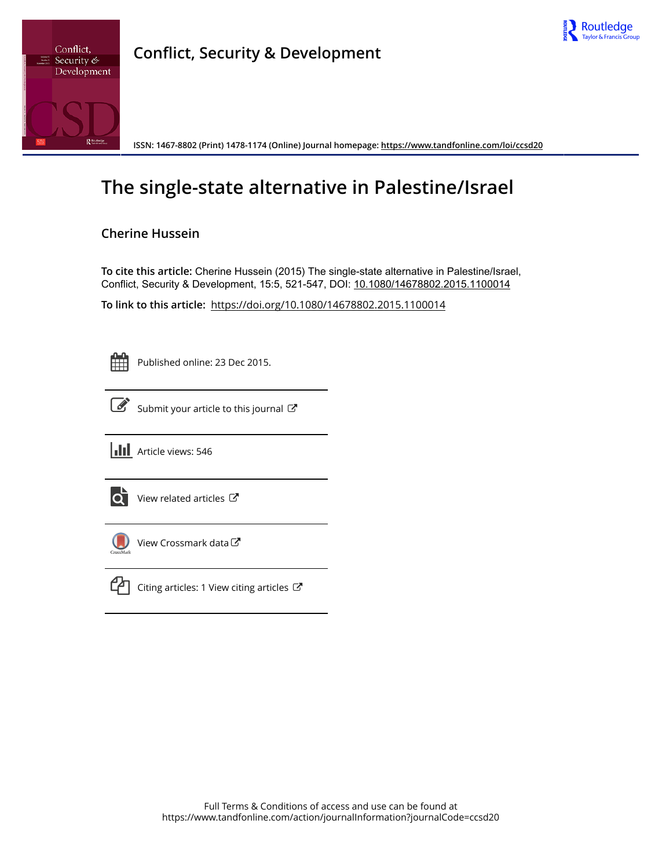



**Conflict, Security & Development**

**ISSN: 1467-8802 (Print) 1478-1174 (Online) Journal homepage:<https://www.tandfonline.com/loi/ccsd20>**

## **The single-state alternative in Palestine/Israel**

#### **Cherine Hussein**

**To cite this article:** Cherine Hussein (2015) The single-state alternative in Palestine/Israel, Conflict, Security & Development, 15:5, 521-547, DOI: [10.1080/14678802.2015.1100014](https://www.tandfonline.com/action/showCitFormats?doi=10.1080/14678802.2015.1100014)

**To link to this article:** <https://doi.org/10.1080/14678802.2015.1100014>

|  | - |  |
|--|---|--|
|  |   |  |
|  |   |  |
|  |   |  |

Published online: 23 Dec 2015.



 $\overline{\mathscr{G}}$  [Submit your article to this journal](https://www.tandfonline.com/action/authorSubmission?journalCode=ccsd20&show=instructions)  $\mathscr{F}$ 





 $\overrightarrow{Q}$  [View related articles](https://www.tandfonline.com/doi/mlt/10.1080/14678802.2015.1100014)  $\overrightarrow{C}$ 



 $\bigcirc$  [View Crossmark data](http://crossmark.crossref.org/dialog/?doi=10.1080/14678802.2015.1100014&domain=pdf&date_stamp=2015-12-23) $\mathbb{Z}$ 



 $\Box$  [Citing articles: 1 View citing articles](https://www.tandfonline.com/doi/citedby/10.1080/14678802.2015.1100014#tabModule)  $\Box$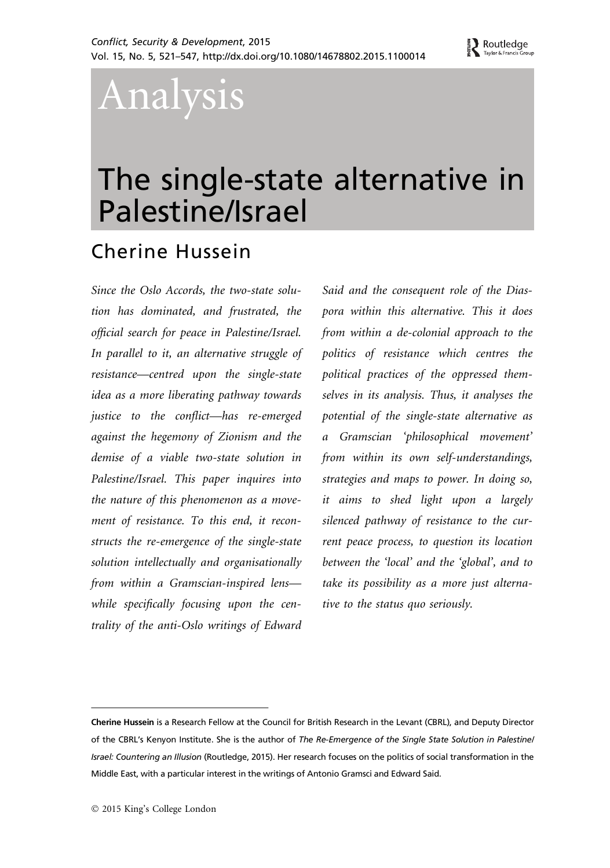Routledge

# Analysis

## The single-state alternative in Palestine/Israel

### Cherine Hussein

Since the Oslo Accords, the two-state solution has dominated, and frustrated, the official search for peace in Palestine/Israel. In parallel to it, an alternative struggle of resistance—centred upon the single-state idea as a more liberating pathway towards justice to the conflict—has re-emerged against the hegemony of Zionism and the demise of a viable two-state solution in Palestine/Israel. This paper inquires into the nature of this phenomenon as a movement of resistance. To this end, it reconstructs the re-emergence of the single-state solution intellectually and organisationally from within a Gramscian-inspired lens while specifically focusing upon the centrality of the anti-Oslo writings of Edward

Said and the consequent role of the Diaspora within this alternative. This it does from within a de-colonial approach to the politics of resistance which centres the political practices of the oppressed themselves in its analysis. Thus, it analyses the potential of the single-state alternative as a Gramscian 'philosophical movement' from within its own self-understandings, strategies and maps to power. In doing so, it aims to shed light upon a largely silenced pathway of resistance to the current peace process, to question its location between the 'local' and the 'global', and to take its possibility as a more just alternative to the status quo seriously.

Cherine Hussein is a Research Fellow at the Council for British Research in the Levant (CBRL), and Deputy Director of the CBRL's Kenyon Institute. She is the author of The Re-Emergence of the Single State Solution in Palestine/ Israel: Countering an Illusion (Routledge, 2015). Her research focuses on the politics of social transformation in the Middle East, with a particular interest in the writings of Antonio Gramsci and Edward Said.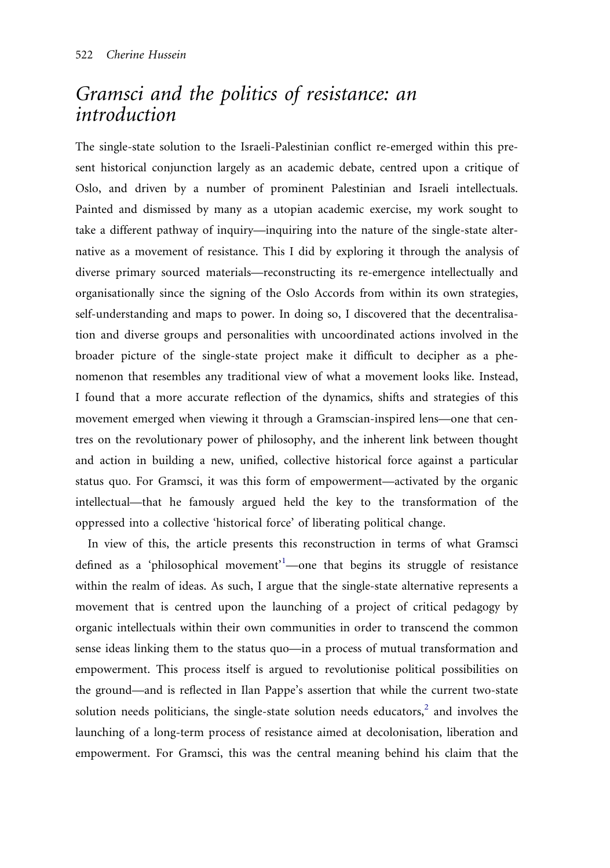#### Gramsci and the politics of resistance: an introduction

The single-state solution to the Israeli-Palestinian conflict re-emerged within this present historical conjunction largely as an academic debate, centred upon a critique of Oslo, and driven by a number of prominent Palestinian and Israeli intellectuals. Painted and dismissed by many as a utopian academic exercise, my work sought to take a different pathway of inquiry—inquiring into the nature of the single-state alternative as a movement of resistance. This I did by exploring it through the analysis of diverse primary sourced materials—reconstructing its re-emergence intellectually and organisationally since the signing of the Oslo Accords from within its own strategies, self-understanding and maps to power. In doing so, I discovered that the decentralisation and diverse groups and personalities with uncoordinated actions involved in the broader picture of the single-state project make it difficult to decipher as a phenomenon that resembles any traditional view of what a movement looks like. Instead, I found that a more accurate reflection of the dynamics, shifts and strategies of this movement emerged when viewing it through a Gramscian-inspired lens—one that centres on the revolutionary power of philosophy, and the inherent link between thought and action in building a new, unified, collective historical force against a particular status quo. For Gramsci, it was this form of empowerment—activated by the organic intellectual—that he famously argued held the key to the transformation of the oppressed into a collective 'historical force' of liberating political change.

In view of this, the article presents this reconstruction in terms of what Gramsci defined as a 'philosophical movement'<sup>[1](#page-24-0)</sup>-one that begins its struggle of resistance within the realm of ideas. As such, I argue that the single-state alternative represents a movement that is centred upon the launching of a project of critical pedagogy by organic intellectuals within their own communities in order to transcend the common sense ideas linking them to the status quo—in a process of mutual transformation and empowerment. This process itself is argued to revolutionise political possibilities on the ground—and is reflected in Ilan Pappe's assertion that while the current two-state solution needs politicians, the single-state solution needs educators, $2$  and involves the launching of a long-term process of resistance aimed at decolonisation, liberation and empowerment. For Gramsci, this was the central meaning behind his claim that the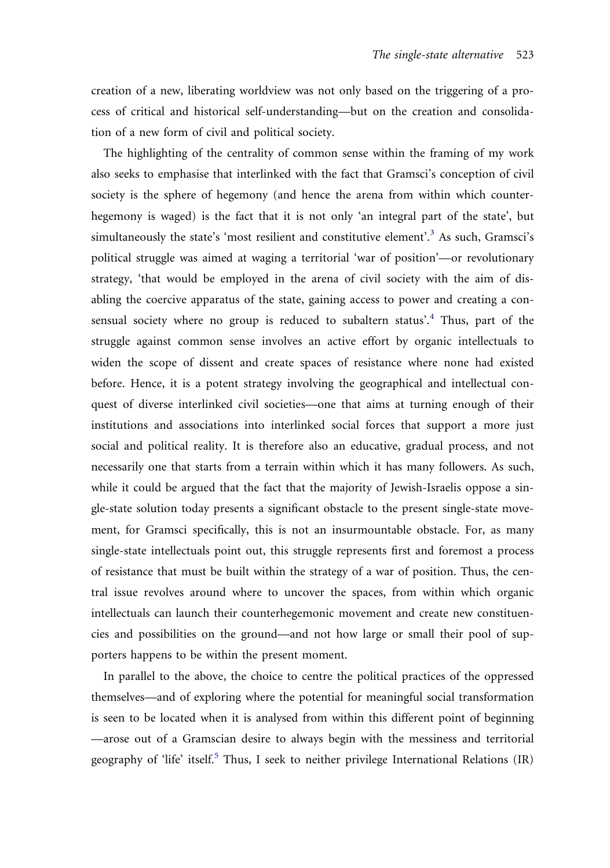creation of a new, liberating worldview was not only based on the triggering of a process of critical and historical self-understanding—but on the creation and consolidation of a new form of civil and political society.

The highlighting of the centrality of common sense within the framing of my work also seeks to emphasise that interlinked with the fact that Gramsci's conception of civil society is the sphere of hegemony (and hence the arena from within which counterhegemony is waged) is the fact that it is not only 'an integral part of the state', but simultaneously the state's 'most resilient and constitutive element'.<sup>[3](#page-24-0)</sup> As such, Gramsci's political struggle was aimed at waging a territorial 'war of position'—or revolutionary strategy, 'that would be employed in the arena of civil society with the aim of disabling the coercive apparatus of the state, gaining access to power and creating a con-sensual society where no group is reduced to subaltern status'.<sup>[4](#page-24-0)</sup> Thus, part of the struggle against common sense involves an active effort by organic intellectuals to widen the scope of dissent and create spaces of resistance where none had existed before. Hence, it is a potent strategy involving the geographical and intellectual conquest of diverse interlinked civil societies—one that aims at turning enough of their institutions and associations into interlinked social forces that support a more just social and political reality. It is therefore also an educative, gradual process, and not necessarily one that starts from a terrain within which it has many followers. As such, while it could be argued that the fact that the majority of Jewish-Israelis oppose a single-state solution today presents a significant obstacle to the present single-state movement, for Gramsci specifically, this is not an insurmountable obstacle. For, as many single-state intellectuals point out, this struggle represents first and foremost a process of resistance that must be built within the strategy of a war of position. Thus, the central issue revolves around where to uncover the spaces, from within which organic intellectuals can launch their counterhegemonic movement and create new constituencies and possibilities on the ground—and not how large or small their pool of supporters happens to be within the present moment.

In parallel to the above, the choice to centre the political practices of the oppressed themselves—and of exploring where the potential for meaningful social transformation is seen to be located when it is analysed from within this different point of beginning —arose out of a Gramscian desire to always begin with the messiness and territorial geography of 'life' itself.<sup>5</sup> Thus, I seek to neither privilege International Relations (IR)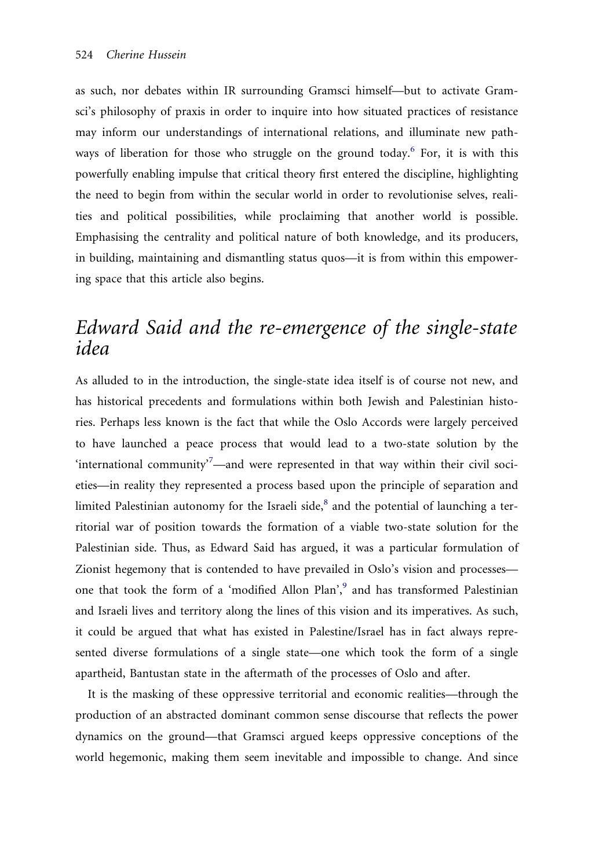as such, nor debates within IR surrounding Gramsci himself—but to activate Gramsci's philosophy of praxis in order to inquire into how situated practices of resistance may inform our understandings of international relations, and illuminate new path-ways of liberation for those who struggle on the ground today.<sup>[6](#page-24-0)</sup> For, it is with this powerfully enabling impulse that critical theory first entered the discipline, highlighting the need to begin from within the secular world in order to revolutionise selves, realities and political possibilities, while proclaiming that another world is possible. Emphasising the centrality and political nature of both knowledge, and its producers, in building, maintaining and dismantling status quos—it is from within this empowering space that this article also begins.

#### Edward Said and the re-emergence of the single-state idea

As alluded to in the introduction, the single-state idea itself is of course not new, and has historical precedents and formulations within both Jewish and Palestinian histories. Perhaps less known is the fact that while the Oslo Accords were largely perceived to have launched a peace process that would lead to a two-state solution by the 'international community<sup>5[7](#page-24-0)</sup>—and were represented in that way within their civil societies—in reality they represented a process based upon the principle of separation and limited Palestinian autonomy for the Israeli side, $\frac{8}{3}$  $\frac{8}{3}$  $\frac{8}{3}$  and the potential of launching a territorial war of position towards the formation of a viable two-state solution for the Palestinian side. Thus, as Edward Said has argued, it was a particular formulation of Zionist hegemony that is contended to have prevailed in Oslo's vision and processes— one that took the form of a 'modified Allon Plan',<sup>[9](#page-24-0)</sup> and has transformed Palestinian and Israeli lives and territory along the lines of this vision and its imperatives. As such, it could be argued that what has existed in Palestine/Israel has in fact always represented diverse formulations of a single state—one which took the form of a single apartheid, Bantustan state in the aftermath of the processes of Oslo and after.

It is the masking of these oppressive territorial and economic realities—through the production of an abstracted dominant common sense discourse that reflects the power dynamics on the ground—that Gramsci argued keeps oppressive conceptions of the world hegemonic, making them seem inevitable and impossible to change. And since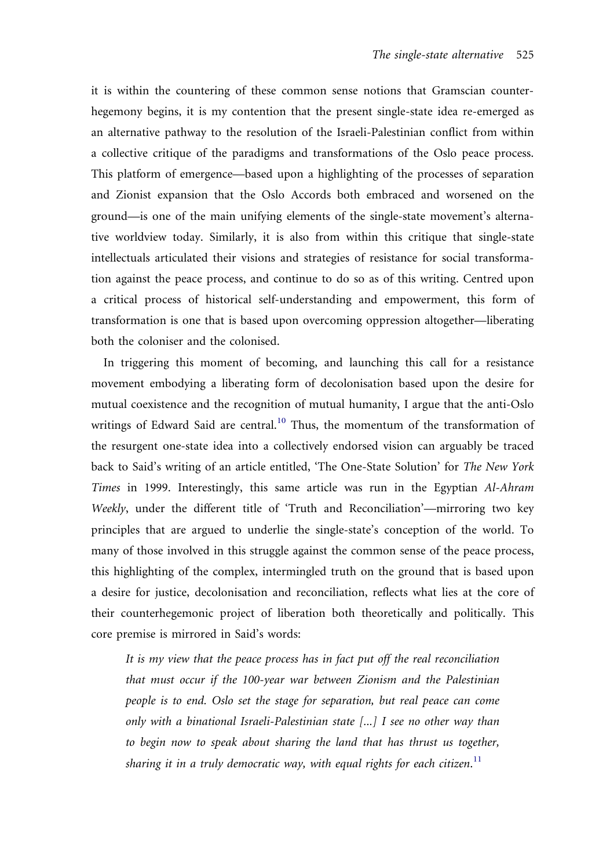it is within the countering of these common sense notions that Gramscian counterhegemony begins, it is my contention that the present single-state idea re-emerged as an alternative pathway to the resolution of the Israeli-Palestinian conflict from within a collective critique of the paradigms and transformations of the Oslo peace process. This platform of emergence—based upon a highlighting of the processes of separation and Zionist expansion that the Oslo Accords both embraced and worsened on the ground—is one of the main unifying elements of the single-state movement's alternative worldview today. Similarly, it is also from within this critique that single-state intellectuals articulated their visions and strategies of resistance for social transformation against the peace process, and continue to do so as of this writing. Centred upon a critical process of historical self-understanding and empowerment, this form of transformation is one that is based upon overcoming oppression altogether—liberating both the coloniser and the colonised.

In triggering this moment of becoming, and launching this call for a resistance movement embodying a liberating form of decolonisation based upon the desire for mutual coexistence and the recognition of mutual humanity, I argue that the anti-Oslo writings of Edward Said are central.<sup>[10](#page-24-0)</sup> Thus, the momentum of the transformation of the resurgent one-state idea into a collectively endorsed vision can arguably be traced back to Said's writing of an article entitled, 'The One-State Solution' for The New York Times in 1999. Interestingly, this same article was run in the Egyptian Al-Ahram Weekly, under the different title of 'Truth and Reconciliation'—mirroring two key principles that are argued to underlie the single-state's conception of the world. To many of those involved in this struggle against the common sense of the peace process, this highlighting of the complex, intermingled truth on the ground that is based upon a desire for justice, decolonisation and reconciliation, reflects what lies at the core of their counterhegemonic project of liberation both theoretically and politically. This core premise is mirrored in Said's words:

It is my view that the peace process has in fact put off the real reconciliation that must occur if the 100-year war between Zionism and the Palestinian people is to end. Oslo set the stage for separation, but real peace can come only with a binational Israeli-Palestinian state [...] I see no other way than to begin now to speak about sharing the land that has thrust us together, sharing it in a truly democratic way, with equal rights for each citizen. $^{\rm 11}$  $^{\rm 11}$  $^{\rm 11}$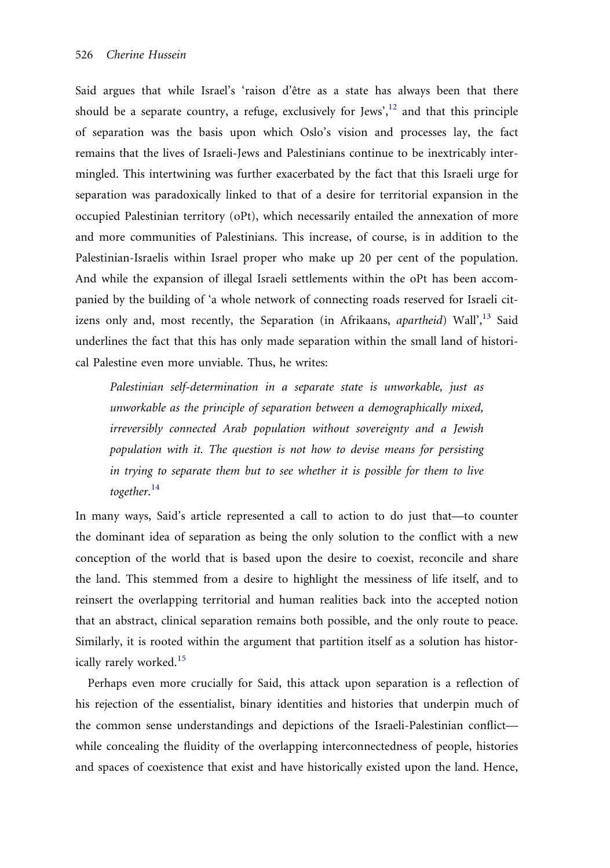Said argues that while Israel's 'raison d'être as a state has always been that there should be a separate country, a refuge, exclusively for Jews',  $^{12}$  $^{12}$  $^{12}$  and that this principle of separation was the basis upon which Oslo's vision and processes lay, the fact remains that the lives of Israeli-Jews and Palestinians continue to be inextricably intermingled. This intertwining was further exacerbated by the fact that this Israeli urge for separation was paradoxically linked to that of a desire for territorial expansion in the occupied Palestinian territory (oPt), which necessarily entailed the annexation of more and more communities of Palestinians. This increase, of course, is in addition to the Palestinian-Israelis within Israel proper who make up 20 per cent of the population. And while the expansion of illegal Israeli settlements within the oPt has been accompanied by the building of 'a whole network of connecting roads reserved for Israeli cit-izens only and, most recently, the Separation (in Afrikaans, apartheid) Wall',<sup>[13](#page-24-0)</sup> Said underlines the fact that this has only made separation within the small land of historical Palestine even more unviable. Thus, he writes:

Palestinian self-determination in a separate state is unworkable, just as unworkable as the principle of separation between a demographically mixed, irreversibly connected Arab population without sovereignty and a Jewish population with it. The question is not how to devise means for persisting in trying to separate them but to see whether it is possible for them to live together. [14](#page-24-0)

In many ways, Said's article represented a call to action to do just that—to counter the dominant idea of separation as being the only solution to the conflict with a new conception of the world that is based upon the desire to coexist, reconcile and share the land. This stemmed from a desire to highlight the messiness of life itself, and to reinsert the overlapping territorial and human realities back into the accepted notion that an abstract, clinical separation remains both possible, and the only route to peace. Similarly, it is rooted within the argument that partition itself as a solution has histor-ically rarely worked.<sup>[15](#page-24-0)</sup>

Perhaps even more crucially for Said, this attack upon separation is a reflection of his rejection of the essentialist, binary identities and histories that underpin much of the common sense understandings and depictions of the Israeli-Palestinian conflict while concealing the fluidity of the overlapping interconnectedness of people, histories and spaces of coexistence that exist and have historically existed upon the land. Hence,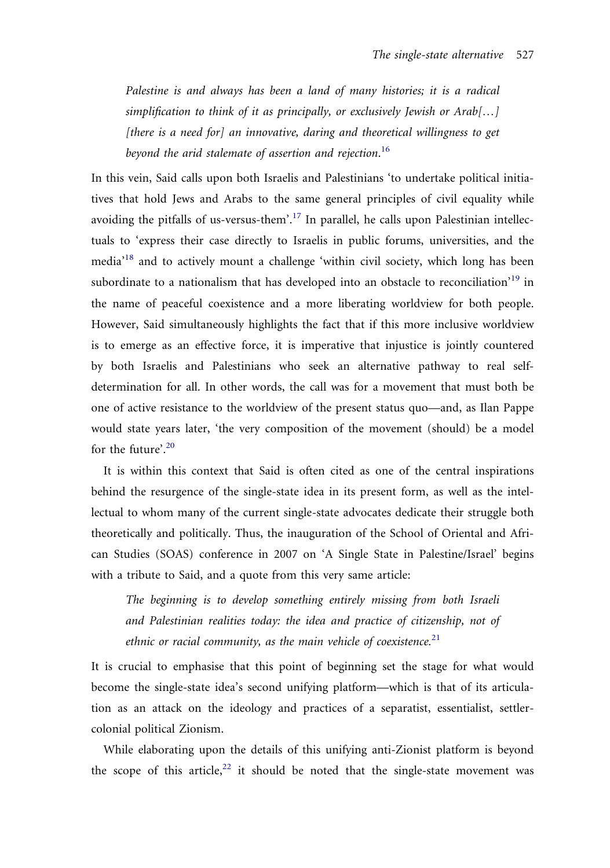Palestine is and always has been a land of many histories; it is a radical simplification to think of it as principally, or exclusively Jewish or Arab[...] [there is a need for] an innovative, daring and theoretical willingness to get beyond the arid stalemate of assertion and rejection.<sup>[16](#page-24-0)</sup>

In this vein, Said calls upon both Israelis and Palestinians 'to undertake political initiatives that hold Jews and Arabs to the same general principles of civil equality while avoiding the pitfalls of us-versus-them'.<sup>[17](#page-24-0)</sup> In parallel, he calls upon Palestinian intellectuals to 'express their case directly to Israelis in public forums, universities, and the media'[18](#page-24-0) and to actively mount a challenge 'within civil society, which long has been subordinate to a nationalism that has developed into an obstacle to reconciliation<sup>'[19](#page-24-0)</sup> in the name of peaceful coexistence and a more liberating worldview for both people. However, Said simultaneously highlights the fact that if this more inclusive worldview is to emerge as an effective force, it is imperative that injustice is jointly countered by both Israelis and Palestinians who seek an alternative pathway to real selfdetermination for all. In other words, the call was for a movement that must both be one of active resistance to the worldview of the present status quo—and, as Ilan Pappe would state years later, 'the very composition of the movement (should) be a model for the future'. $20$ 

It is within this context that Said is often cited as one of the central inspirations behind the resurgence of the single-state idea in its present form, as well as the intellectual to whom many of the current single-state advocates dedicate their struggle both theoretically and politically. Thus, the inauguration of the School of Oriental and African Studies (SOAS) conference in 2007 on 'A Single State in Palestine/Israel' begins with a tribute to Said, and a quote from this very same article:

The beginning is to develop something entirely missing from both Israeli and Palestinian realities today: the idea and practice of citizenship, not of ethnic or racial community, as the main vehicle of coexistence. $2<sup>1</sup>$ 

It is crucial to emphasise that this point of beginning set the stage for what would become the single-state idea's second unifying platform—which is that of its articulation as an attack on the ideology and practices of a separatist, essentialist, settlercolonial political Zionism.

While elaborating upon the details of this unifying anti-Zionist platform is beyond the scope of this article,<sup>[22](#page-25-0)</sup> it should be noted that the single-state movement was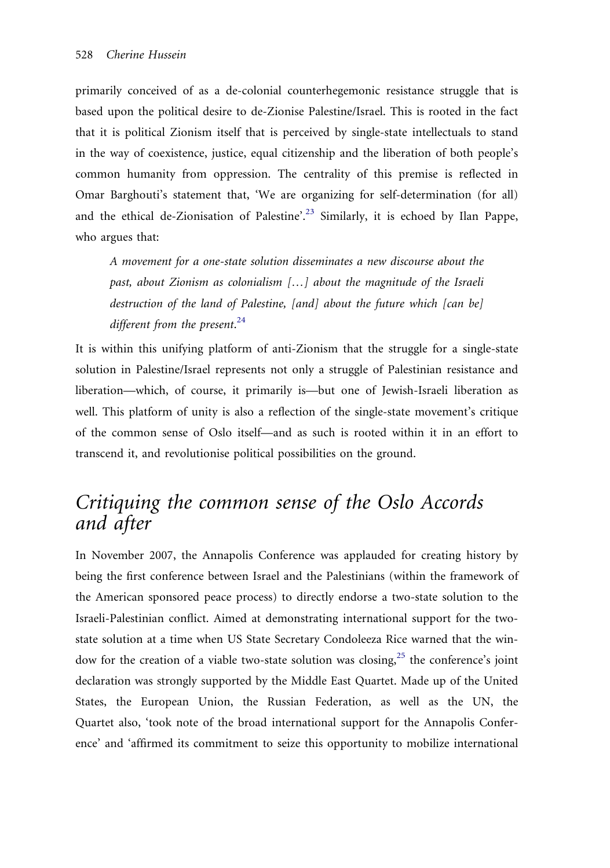primarily conceived of as a de-colonial counterhegemonic resistance struggle that is based upon the political desire to de-Zionise Palestine/Israel. This is rooted in the fact that it is political Zionism itself that is perceived by single-state intellectuals to stand in the way of coexistence, justice, equal citizenship and the liberation of both people's common humanity from oppression. The centrality of this premise is reflected in Omar Barghouti's statement that, 'We are organizing for self-determination (for all) and the ethical de-Zionisation of Palestine'.<sup>[23](#page-25-0)</sup> Similarly, it is echoed by Ilan Pappe, who argues that:

A movement for a one-state solution disseminates a new discourse about the past, about Zionism as colonialism […] about the magnitude of the Israeli destruction of the land of Palestine, [and] about the future which [can be] different from the present.<sup>[24](#page-25-0)</sup>

It is within this unifying platform of anti-Zionism that the struggle for a single-state solution in Palestine/Israel represents not only a struggle of Palestinian resistance and liberation—which, of course, it primarily is—but one of Jewish-Israeli liberation as well. This platform of unity is also a reflection of the single-state movement's critique of the common sense of Oslo itself—and as such is rooted within it in an effort to transcend it, and revolutionise political possibilities on the ground.

### Critiquing the common sense of the Oslo Accords and after

In November 2007, the Annapolis Conference was applauded for creating history by being the first conference between Israel and the Palestinians (within the framework of the American sponsored peace process) to directly endorse a two-state solution to the Israeli-Palestinian conflict. Aimed at demonstrating international support for the twostate solution at a time when US State Secretary Condoleeza Rice warned that the window for the creation of a viable two-state solution was closing, $25$  the conference's joint declaration was strongly supported by the Middle East Quartet. Made up of the United States, the European Union, the Russian Federation, as well as the UN, the Quartet also, 'took note of the broad international support for the Annapolis Conference' and 'affirmed its commitment to seize this opportunity to mobilize international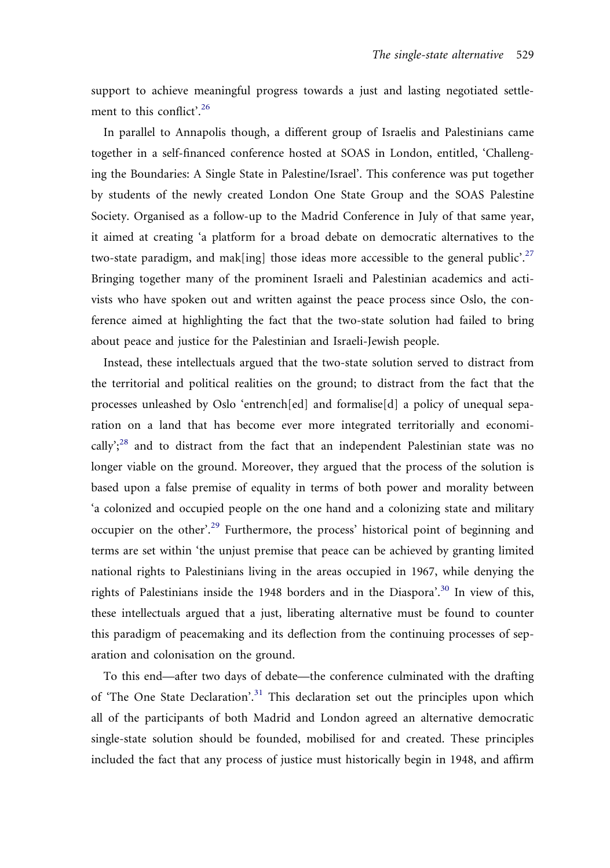support to achieve meaningful progress towards a just and lasting negotiated settle-ment to this conflict'.<sup>[26](#page-25-0)</sup>

In parallel to Annapolis though, a different group of Israelis and Palestinians came together in a self-financed conference hosted at SOAS in London, entitled, 'Challenging the Boundaries: A Single State in Palestine/Israel'. This conference was put together by students of the newly created London One State Group and the SOAS Palestine Society. Organised as a follow-up to the Madrid Conference in July of that same year, it aimed at creating 'a platform for a broad debate on democratic alternatives to the two-state paradigm, and mak[ing] those ideas more accessible to the general public'.<sup>[27](#page-25-0)</sup> Bringing together many of the prominent Israeli and Palestinian academics and activists who have spoken out and written against the peace process since Oslo, the conference aimed at highlighting the fact that the two-state solution had failed to bring about peace and justice for the Palestinian and Israeli-Jewish people.

Instead, these intellectuals argued that the two-state solution served to distract from the territorial and political realities on the ground; to distract from the fact that the processes unleashed by Oslo 'entrench $[ed]$  and formalise $[d]$  a policy of unequal separation on a land that has become ever more integrated territorially and economi-cally';<sup>[28](#page-25-0)</sup> and to distract from the fact that an independent Palestinian state was no longer viable on the ground. Moreover, they argued that the process of the solution is based upon a false premise of equality in terms of both power and morality between 'a colonized and occupied people on the one hand and a colonizing state and military occupier on the other'.[29](#page-25-0) Furthermore, the process' historical point of beginning and terms are set within 'the unjust premise that peace can be achieved by granting limited national rights to Palestinians living in the areas occupied in 1967, while denying the rights of Palestinians inside the 1948 borders and in the Diaspora'.<sup>[30](#page-25-0)</sup> In view of this, these intellectuals argued that a just, liberating alternative must be found to counter this paradigm of peacemaking and its deflection from the continuing processes of separation and colonisation on the ground.

To this end—after two days of debate—the conference culminated with the drafting of 'The One State Declaration'.<sup>[31](#page-25-0)</sup> This declaration set out the principles upon which all of the participants of both Madrid and London agreed an alternative democratic single-state solution should be founded, mobilised for and created. These principles included the fact that any process of justice must historically begin in 1948, and affirm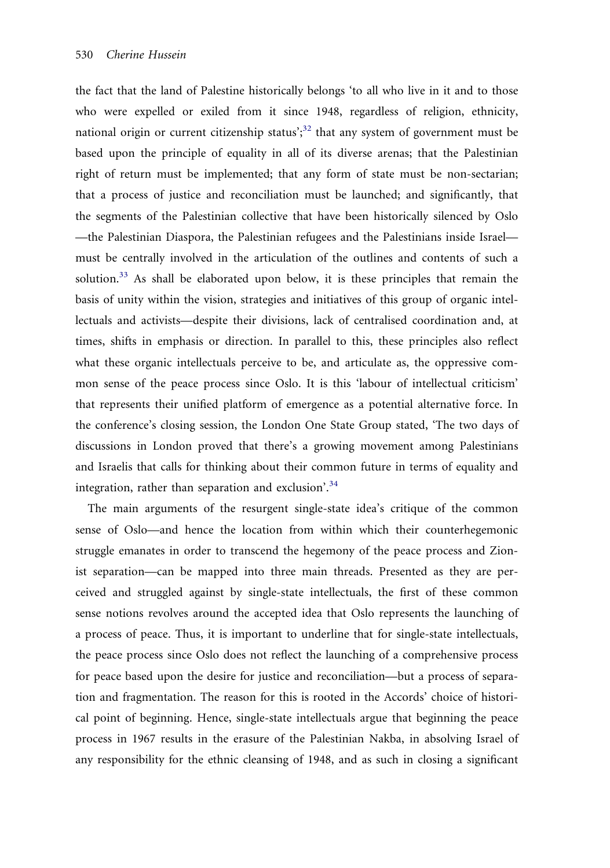the fact that the land of Palestine historically belongs 'to all who live in it and to those who were expelled or exiled from it since 1948, regardless of religion, ethnicity, national origin or current citizenship status';<sup>[32](#page-25-0)</sup> that any system of government must be based upon the principle of equality in all of its diverse arenas; that the Palestinian right of return must be implemented; that any form of state must be non-sectarian; that a process of justice and reconciliation must be launched; and significantly, that the segments of the Palestinian collective that have been historically silenced by Oslo —the Palestinian Diaspora, the Palestinian refugees and the Palestinians inside Israel must be centrally involved in the articulation of the outlines and contents of such a solution. $33$  As shall be elaborated upon below, it is these principles that remain the basis of unity within the vision, strategies and initiatives of this group of organic intellectuals and activists—despite their divisions, lack of centralised coordination and, at times, shifts in emphasis or direction. In parallel to this, these principles also reflect what these organic intellectuals perceive to be, and articulate as, the oppressive common sense of the peace process since Oslo. It is this 'labour of intellectual criticism' that represents their unified platform of emergence as a potential alternative force. In the conference's closing session, the London One State Group stated, 'The two days of discussions in London proved that there's a growing movement among Palestinians and Israelis that calls for thinking about their common future in terms of equality and integration, rather than separation and exclusion'.<sup>[34](#page-25-0)</sup>

The main arguments of the resurgent single-state idea's critique of the common sense of Oslo—and hence the location from within which their counterhegemonic struggle emanates in order to transcend the hegemony of the peace process and Zionist separation—can be mapped into three main threads. Presented as they are perceived and struggled against by single-state intellectuals, the first of these common sense notions revolves around the accepted idea that Oslo represents the launching of a process of peace. Thus, it is important to underline that for single-state intellectuals, the peace process since Oslo does not reflect the launching of a comprehensive process for peace based upon the desire for justice and reconciliation—but a process of separation and fragmentation. The reason for this is rooted in the Accords' choice of historical point of beginning. Hence, single-state intellectuals argue that beginning the peace process in 1967 results in the erasure of the Palestinian Nakba, in absolving Israel of any responsibility for the ethnic cleansing of 1948, and as such in closing a significant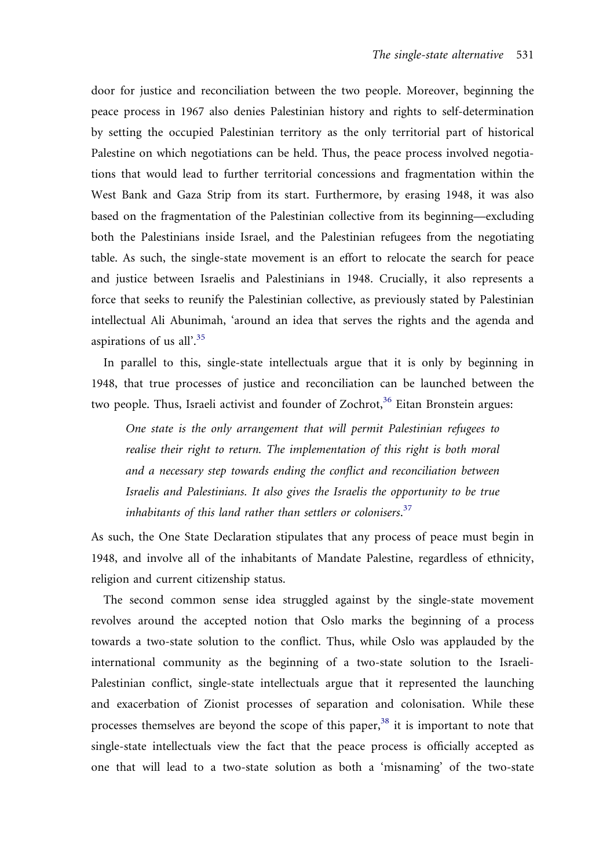door for justice and reconciliation between the two people. Moreover, beginning the peace process in 1967 also denies Palestinian history and rights to self-determination by setting the occupied Palestinian territory as the only territorial part of historical Palestine on which negotiations can be held. Thus, the peace process involved negotiations that would lead to further territorial concessions and fragmentation within the West Bank and Gaza Strip from its start. Furthermore, by erasing 1948, it was also based on the fragmentation of the Palestinian collective from its beginning—excluding both the Palestinians inside Israel, and the Palestinian refugees from the negotiating table. As such, the single-state movement is an effort to relocate the search for peace and justice between Israelis and Palestinians in 1948. Crucially, it also represents a force that seeks to reunify the Palestinian collective, as previously stated by Palestinian intellectual Ali Abunimah, 'around an idea that serves the rights and the agenda and aspirations of us all'.<sup>[35](#page-25-0)</sup>

In parallel to this, single-state intellectuals argue that it is only by beginning in 1948, that true processes of justice and reconciliation can be launched between the two people. Thus, Israeli activist and founder of Zochrot,<sup>[36](#page-25-0)</sup> Eitan Bronstein argues:

One state is the only arrangement that will permit Palestinian refugees to realise their right to return. The implementation of this right is both moral and a necessary step towards ending the conflict and reconciliation between Israelis and Palestinians. It also gives the Israelis the opportunity to be true inhabitants of this land rather than settlers or colonisers.<sup>[37](#page-25-0)</sup>

As such, the One State Declaration stipulates that any process of peace must begin in 1948, and involve all of the inhabitants of Mandate Palestine, regardless of ethnicity, religion and current citizenship status.

The second common sense idea struggled against by the single-state movement revolves around the accepted notion that Oslo marks the beginning of a process towards a two-state solution to the conflict. Thus, while Oslo was applauded by the international community as the beginning of a two-state solution to the Israeli-Palestinian conflict, single-state intellectuals argue that it represented the launching and exacerbation of Zionist processes of separation and colonisation. While these processes themselves are beyond the scope of this paper,<sup>[38](#page-25-0)</sup> it is important to note that single-state intellectuals view the fact that the peace process is officially accepted as one that will lead to a two-state solution as both a 'misnaming' of the two-state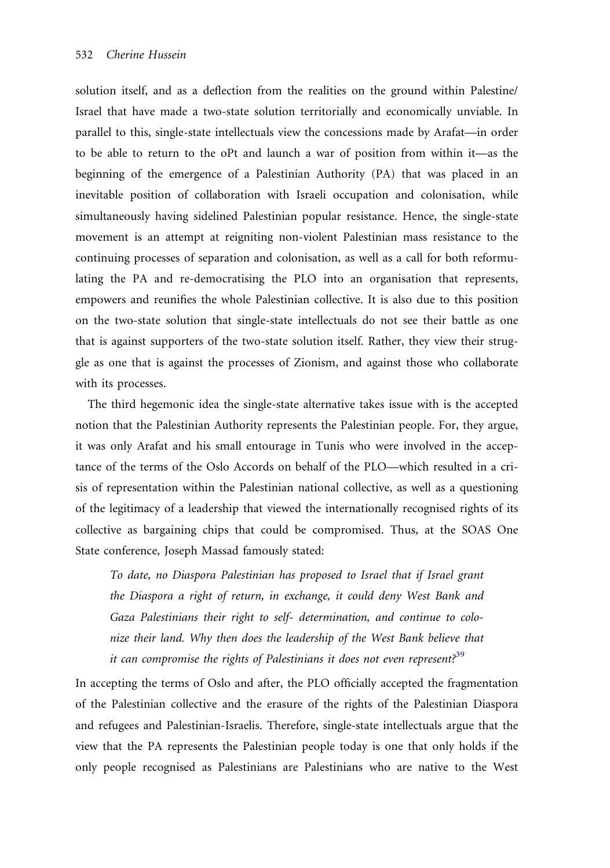solution itself, and as a deflection from the realities on the ground within Palestine/ Israel that have made a two-state solution territorially and economically unviable. In parallel to this, single-state intellectuals view the concessions made by Arafat—in order to be able to return to the oPt and launch a war of position from within it—as the beginning of the emergence of a Palestinian Authority (PA) that was placed in an inevitable position of collaboration with Israeli occupation and colonisation, while simultaneously having sidelined Palestinian popular resistance. Hence, the single-state movement is an attempt at reigniting non-violent Palestinian mass resistance to the continuing processes of separation and colonisation, as well as a call for both reformulating the PA and re-democratising the PLO into an organisation that represents, empowers and reunifies the whole Palestinian collective. It is also due to this position on the two-state solution that single-state intellectuals do not see their battle as one that is against supporters of the two-state solution itself. Rather, they view their struggle as one that is against the processes of Zionism, and against those who collaborate with its processes.

The third hegemonic idea the single-state alternative takes issue with is the accepted notion that the Palestinian Authority represents the Palestinian people. For, they argue, it was only Arafat and his small entourage in Tunis who were involved in the acceptance of the terms of the Oslo Accords on behalf of the PLO—which resulted in a crisis of representation within the Palestinian national collective, as well as a questioning of the legitimacy of a leadership that viewed the internationally recognised rights of its collective as bargaining chips that could be compromised. Thus, at the SOAS One State conference, Joseph Massad famously stated:

To date, no Diaspora Palestinian has proposed to Israel that if Israel grant the Diaspora a right of return, in exchange, it could deny West Bank and Gaza Palestinians their right to self- determination, and continue to colonize their land. Why then does the leadership of the West Bank believe that it can compromise the rights of Palestinians it does not even represent?<sup>[39](#page-25-0)</sup>

In accepting the terms of Oslo and after, the PLO officially accepted the fragmentation of the Palestinian collective and the erasure of the rights of the Palestinian Diaspora and refugees and Palestinian-Israelis. Therefore, single-state intellectuals argue that the view that the PA represents the Palestinian people today is one that only holds if the only people recognised as Palestinians are Palestinians who are native to the West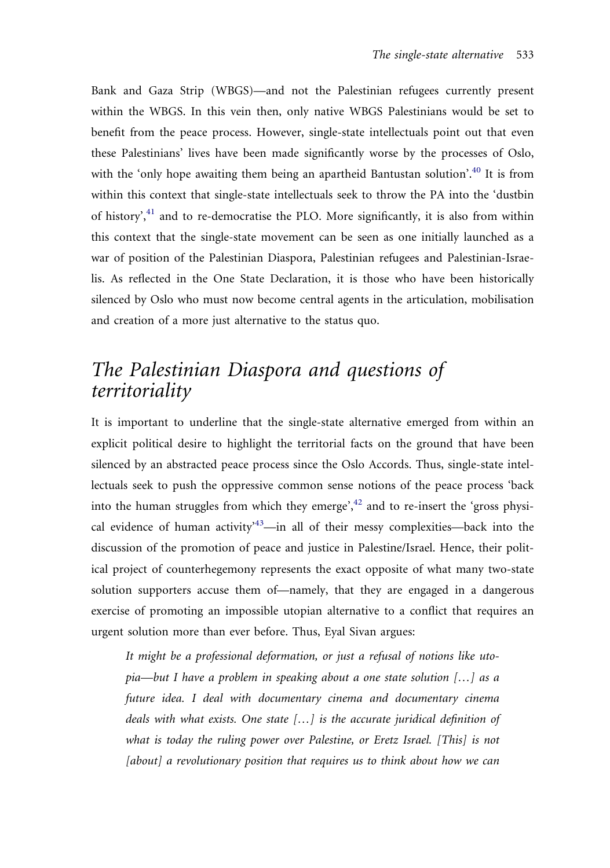Bank and Gaza Strip (WBGS)—and not the Palestinian refugees currently present within the WBGS. In this vein then, only native WBGS Palestinians would be set to benefit from the peace process. However, single-state intellectuals point out that even these Palestinians' lives have been made significantly worse by the processes of Oslo, with the 'only hope awaiting them being an apartheid Bantustan solution'.<sup>[40](#page-25-0)</sup> It is from within this context that single-state intellectuals seek to throw the PA into the 'dustbin of history $3<sup>41</sup>$  $3<sup>41</sup>$  $3<sup>41</sup>$  and to re-democratise the PLO. More significantly, it is also from within this context that the single-state movement can be seen as one initially launched as a war of position of the Palestinian Diaspora, Palestinian refugees and Palestinian-Israelis. As reflected in the One State Declaration, it is those who have been historically silenced by Oslo who must now become central agents in the articulation, mobilisation and creation of a more just alternative to the status quo.

### The Palestinian Diaspora and questions of territoriality

It is important to underline that the single-state alternative emerged from within an explicit political desire to highlight the territorial facts on the ground that have been silenced by an abstracted peace process since the Oslo Accords. Thus, single-state intellectuals seek to push the oppressive common sense notions of the peace process 'back into the human struggles from which they emerge', $42$  and to re-insert the 'gross physi-cal evidence of human activity<sup>[43](#page-25-0)</sup>—in all of their messy complexities—back into the discussion of the promotion of peace and justice in Palestine/Israel. Hence, their political project of counterhegemony represents the exact opposite of what many two-state solution supporters accuse them of—namely, that they are engaged in a dangerous exercise of promoting an impossible utopian alternative to a conflict that requires an urgent solution more than ever before. Thus, Eyal Sivan argues:

It might be a professional deformation, or just a refusal of notions like utopia—but I have a problem in speaking about a one state solution […] as a future idea. I deal with documentary cinema and documentary cinema deals with what exists. One state  $[\dots]$  is the accurate juridical definition of what is today the ruling power over Palestine, or Eretz Israel. [This] is not [about] a revolutionary position that requires us to think about how we can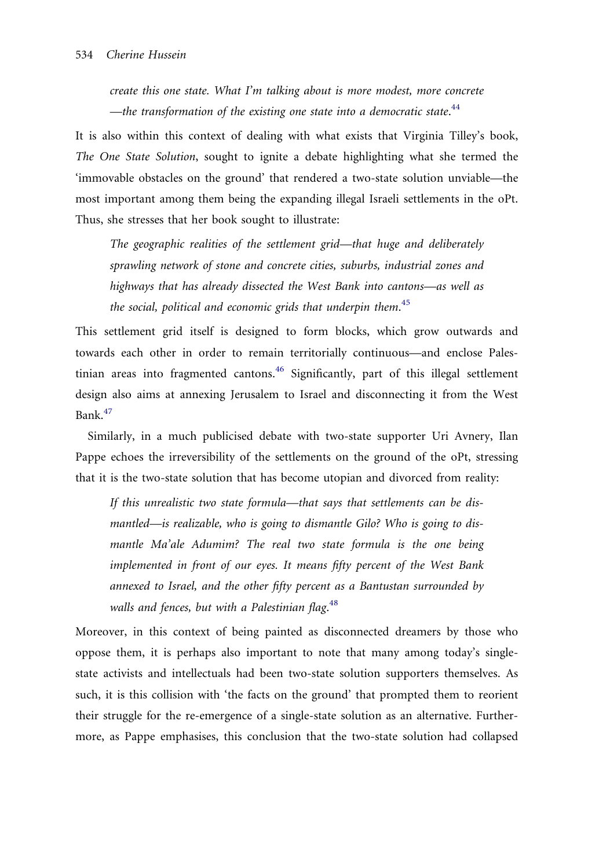create this one state. What I'm talking about is more modest, more concrete —the transformation of the existing one state into a democratic state. $^{44}$  $^{44}$  $^{44}$ 

It is also within this context of dealing with what exists that Virginia Tilley's book, The One State Solution, sought to ignite a debate highlighting what she termed the 'immovable obstacles on the ground' that rendered a two-state solution unviable—the most important among them being the expanding illegal Israeli settlements in the oPt. Thus, she stresses that her book sought to illustrate:

The geographic realities of the settlement grid—that huge and deliberately sprawling network of stone and concrete cities, suburbs, industrial zones and highways that has already dissected the West Bank into cantons—as well as the social, political and economic grids that underpin them.<sup>[45](#page-25-0)</sup>

This settlement grid itself is designed to form blocks, which grow outwards and towards each other in order to remain territorially continuous—and enclose Pales-tinian areas into fragmented cantons.<sup>[46](#page-25-0)</sup> Significantly, part of this illegal settlement design also aims at annexing Jerusalem to Israel and disconnecting it from the West Bank.[47](#page-25-0)

Similarly, in a much publicised debate with two-state supporter Uri Avnery, Ilan Pappe echoes the irreversibility of the settlements on the ground of the oPt, stressing that it is the two-state solution that has become utopian and divorced from reality:

If this unrealistic two state formula—that says that settlements can be dismantled—is realizable, who is going to dismantle Gilo? Who is going to dismantle Ma'ale Adumim? The real two state formula is the one being implemented in front of our eyes. It means fifty percent of the West Bank annexed to Israel, and the other fifty percent as a Bantustan surrounded by walls and fences, but with a Palestinian flag.<sup>[48](#page-25-0)</sup>

Moreover, in this context of being painted as disconnected dreamers by those who oppose them, it is perhaps also important to note that many among today's singlestate activists and intellectuals had been two-state solution supporters themselves. As such, it is this collision with 'the facts on the ground' that prompted them to reorient their struggle for the re-emergence of a single-state solution as an alternative. Furthermore, as Pappe emphasises, this conclusion that the two-state solution had collapsed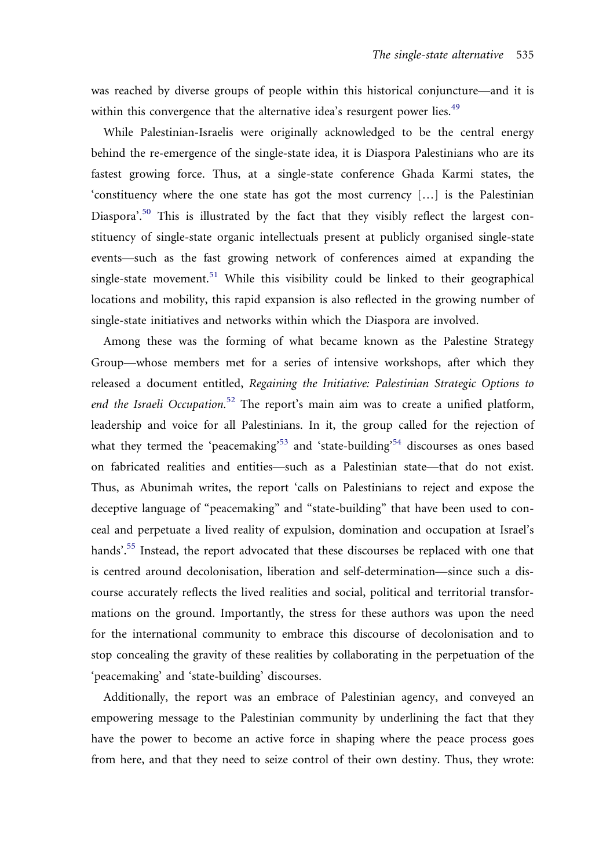was reached by diverse groups of people within this historical conjuncture—and it is within this convergence that the alternative idea's resurgent power lies.<sup>[49](#page-25-0)</sup>

While Palestinian-Israelis were originally acknowledged to be the central energy behind the re-emergence of the single-state idea, it is Diaspora Palestinians who are its fastest growing force. Thus, at a single-state conference Ghada Karmi states, the 'constituency where the one state has got the most currency […] is the Palestinian Diaspora<sup>'.[50](#page-25-0)</sup> This is illustrated by the fact that they visibly reflect the largest constituency of single-state organic intellectuals present at publicly organised single-state events—such as the fast growing network of conferences aimed at expanding the single-state movement.<sup>[51](#page-25-0)</sup> While this visibility could be linked to their geographical locations and mobility, this rapid expansion is also reflected in the growing number of single-state initiatives and networks within which the Diaspora are involved.

Among these was the forming of what became known as the Palestine Strategy Group—whose members met for a series of intensive workshops, after which they released a document entitled, Regaining the Initiative: Palestinian Strategic Options to end the Israeli Occupation.<sup>[52](#page-25-0)</sup> The report's main aim was to create a unified platform, leadership and voice for all Palestinians. In it, the group called for the rejection of what they termed the 'peacemaking'<sup>[53](#page-25-0)</sup> and 'state-building'<sup>[54](#page-25-0)</sup> discourses as ones based on fabricated realities and entities—such as a Palestinian state—that do not exist. Thus, as Abunimah writes, the report 'calls on Palestinians to reject and expose the deceptive language of "peacemaking" and "state-building" that have been used to conceal and perpetuate a lived reality of expulsion, domination and occupation at Israel's hands'.<sup>[55](#page-25-0)</sup> Instead, the report advocated that these discourses be replaced with one that is centred around decolonisation, liberation and self-determination—since such a discourse accurately reflects the lived realities and social, political and territorial transformations on the ground. Importantly, the stress for these authors was upon the need for the international community to embrace this discourse of decolonisation and to stop concealing the gravity of these realities by collaborating in the perpetuation of the 'peacemaking' and 'state-building' discourses.

Additionally, the report was an embrace of Palestinian agency, and conveyed an empowering message to the Palestinian community by underlining the fact that they have the power to become an active force in shaping where the peace process goes from here, and that they need to seize control of their own destiny. Thus, they wrote: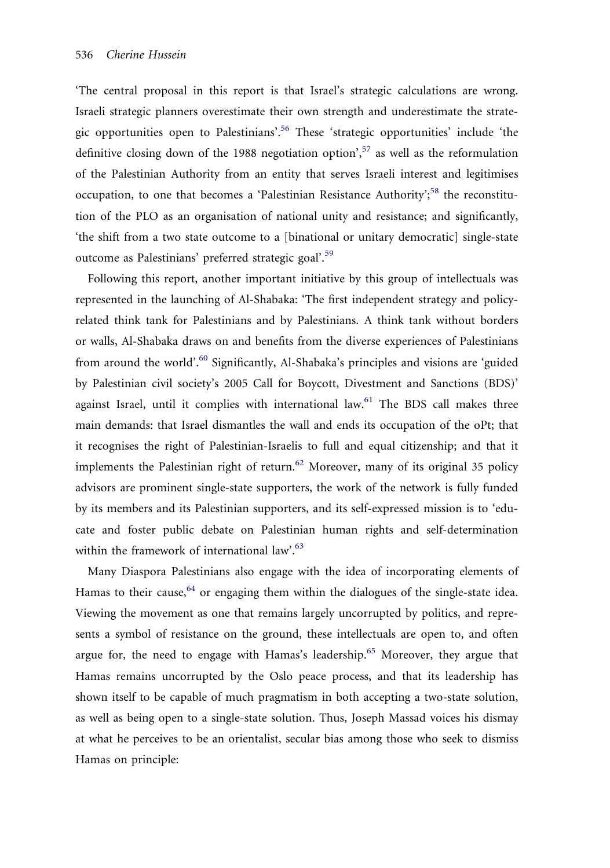'The central proposal in this report is that Israel's strategic calculations are wrong. Israeli strategic planners overestimate their own strength and underestimate the strategic opportunities open to Palestinians'.[56](#page-25-0) These 'strategic opportunities' include 'the definitive closing down of the 1988 negotiation option',<sup>[57](#page-25-0)</sup> as well as the reformulation of the Palestinian Authority from an entity that serves Israeli interest and legitimises occupation, to one that becomes a 'Palestinian Resistance Authority';<sup>[58](#page-25-0)</sup> the reconstitution of the PLO as an organisation of national unity and resistance; and significantly, 'the shift from a two state outcome to a [binational or unitary democratic] single-state outcome as Palestinians' preferred strategic goal'.[59](#page-25-0)

Following this report, another important initiative by this group of intellectuals was represented in the launching of Al-Shabaka: 'The first independent strategy and policyrelated think tank for Palestinians and by Palestinians. A think tank without borders or walls, Al-Shabaka draws on and benefits from the diverse experiences of Palestinians from around the world'.<sup>[60](#page-25-0)</sup> Significantly, Al-Shabaka's principles and visions are 'guided by Palestinian civil society's 2005 Call for Boycott, Divestment and Sanctions (BDS)' against Israel, until it complies with international law.<sup>[61](#page-25-0)</sup> The BDS call makes three main demands: that Israel dismantles the wall and ends its occupation of the oPt; that it recognises the right of Palestinian-Israelis to full and equal citizenship; and that it implements the Palestinian right of return.<sup>[62](#page-25-0)</sup> Moreover, many of its original 35 policy advisors are prominent single-state supporters, the work of the network is fully funded by its members and its Palestinian supporters, and its self-expressed mission is to 'educate and foster public debate on Palestinian human rights and self-determination within the framework of international law'.<sup>[63](#page-26-0)</sup>

Many Diaspora Palestinians also engage with the idea of incorporating elements of Hamas to their cause,  $64$  or engaging them within the dialogues of the single-state idea. Viewing the movement as one that remains largely uncorrupted by politics, and represents a symbol of resistance on the ground, these intellectuals are open to, and often argue for, the need to engage with Hamas's leadership.<sup>[65](#page-26-0)</sup> Moreover, they argue that Hamas remains uncorrupted by the Oslo peace process, and that its leadership has shown itself to be capable of much pragmatism in both accepting a two-state solution, as well as being open to a single-state solution. Thus, Joseph Massad voices his dismay at what he perceives to be an orientalist, secular bias among those who seek to dismiss Hamas on principle: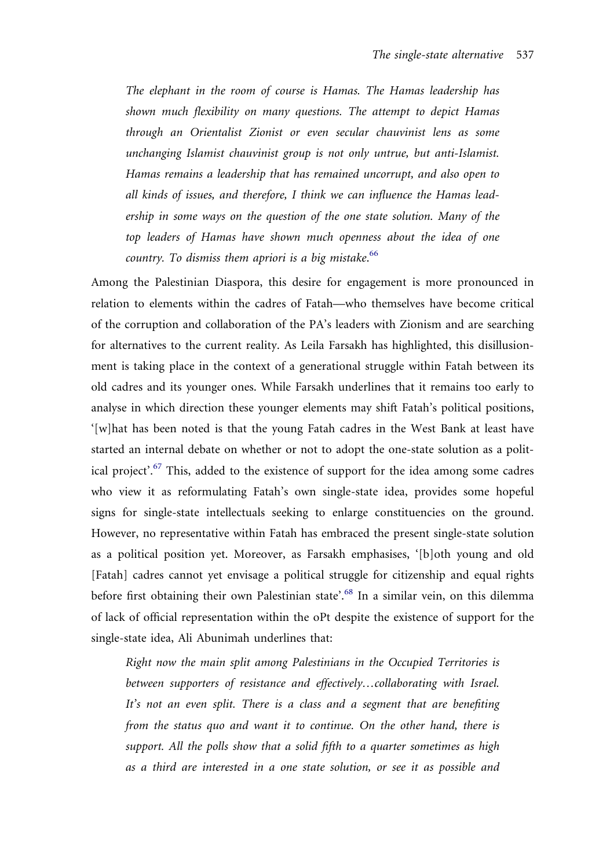The elephant in the room of course is Hamas. The Hamas leadership has shown much flexibility on many questions. The attempt to depict Hamas through an Orientalist Zionist or even secular chauvinist lens as some unchanging Islamist chauvinist group is not only untrue, but anti-Islamist. Hamas remains a leadership that has remained uncorrupt, and also open to all kinds of issues, and therefore, I think we can influence the Hamas leadership in some ways on the question of the one state solution. Many of the top leaders of Hamas have shown much openness about the idea of one country. To dismiss them apriori is a big mistake. [66](#page-26-0)

Among the Palestinian Diaspora, this desire for engagement is more pronounced in relation to elements within the cadres of Fatah—who themselves have become critical of the corruption and collaboration of the PA's leaders with Zionism and are searching for alternatives to the current reality. As Leila Farsakh has highlighted, this disillusionment is taking place in the context of a generational struggle within Fatah between its old cadres and its younger ones. While Farsakh underlines that it remains too early to analyse in which direction these younger elements may shift Fatah's political positions, '[w]hat has been noted is that the young Fatah cadres in the West Bank at least have started an internal debate on whether or not to adopt the one-state solution as a polit-ical project'.<sup>[67](#page-26-0)</sup> This, added to the existence of support for the idea among some cadres who view it as reformulating Fatah's own single-state idea, provides some hopeful signs for single-state intellectuals seeking to enlarge constituencies on the ground. However, no representative within Fatah has embraced the present single-state solution as a political position yet. Moreover, as Farsakh emphasises, '[b]oth young and old [Fatah] cadres cannot yet envisage a political struggle for citizenship and equal rights before first obtaining their own Palestinian state'.<sup>[68](#page-26-0)</sup> In a similar vein, on this dilemma of lack of official representation within the oPt despite the existence of support for the single-state idea, Ali Abunimah underlines that:

Right now the main split among Palestinians in the Occupied Territories is between supporters of resistance and effectively…collaborating with Israel. It's not an even split. There is a class and a segment that are benefiting from the status quo and want it to continue. On the other hand, there is support. All the polls show that a solid fifth to a quarter sometimes as high as a third are interested in a one state solution, or see it as possible and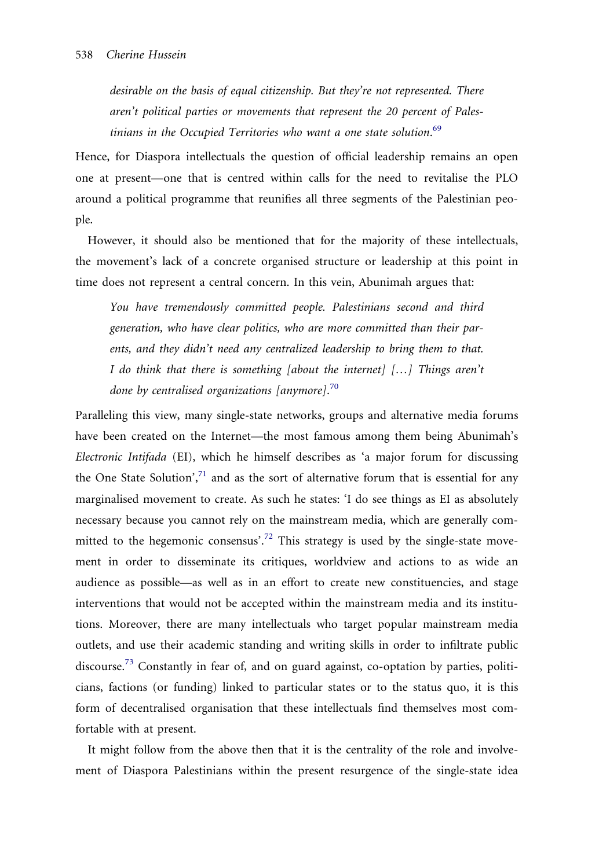desirable on the basis of equal citizenship. But they're not represented. There aren't political parties or movements that represent the 20 percent of Pales-tinians in the Occupied Territories who want a one state solution.<sup>[69](#page-26-0)</sup>

Hence, for Diaspora intellectuals the question of official leadership remains an open one at present—one that is centred within calls for the need to revitalise the PLO around a political programme that reunifies all three segments of the Palestinian people.

However, it should also be mentioned that for the majority of these intellectuals, the movement's lack of a concrete organised structure or leadership at this point in time does not represent a central concern. In this vein, Abunimah argues that:

You have tremendously committed people. Palestinians second and third generation, who have clear politics, who are more committed than their parents, and they didn't need any centralized leadership to bring them to that. I do think that there is something [about the internet] […] Things aren't done by centralised organizations [anymore].<sup>[70](#page-26-0)</sup>

Paralleling this view, many single-state networks, groups and alternative media forums have been created on the Internet—the most famous among them being Abunimah's Electronic Intifada (EI), which he himself describes as 'a major forum for discussing the One State Solution', $71$  and as the sort of alternative forum that is essential for any marginalised movement to create. As such he states: 'I do see things as EI as absolutely necessary because you cannot rely on the mainstream media, which are generally com-mitted to the hegemonic consensus'.<sup>[72](#page-26-0)</sup> This strategy is used by the single-state movement in order to disseminate its critiques, worldview and actions to as wide an audience as possible—as well as in an effort to create new constituencies, and stage interventions that would not be accepted within the mainstream media and its institutions. Moreover, there are many intellectuals who target popular mainstream media outlets, and use their academic standing and writing skills in order to infiltrate public discourse.<sup>[73](#page-26-0)</sup> Constantly in fear of, and on guard against, co-optation by parties, politicians, factions (or funding) linked to particular states or to the status quo, it is this form of decentralised organisation that these intellectuals find themselves most comfortable with at present.

It might follow from the above then that it is the centrality of the role and involvement of Diaspora Palestinians within the present resurgence of the single-state idea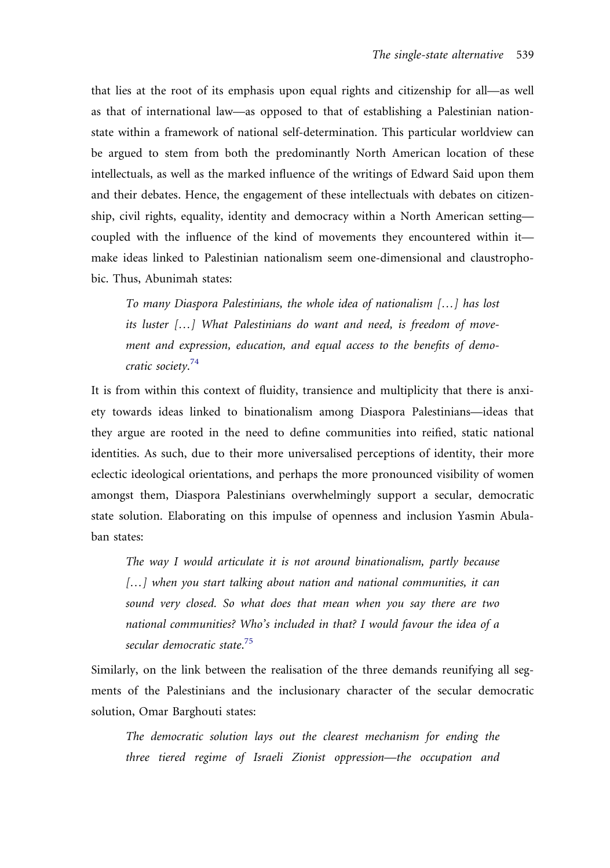that lies at the root of its emphasis upon equal rights and citizenship for all—as well as that of international law—as opposed to that of establishing a Palestinian nationstate within a framework of national self-determination. This particular worldview can be argued to stem from both the predominantly North American location of these intellectuals, as well as the marked influence of the writings of Edward Said upon them and their debates. Hence, the engagement of these intellectuals with debates on citizenship, civil rights, equality, identity and democracy within a North American setting coupled with the influence of the kind of movements they encountered within it make ideas linked to Palestinian nationalism seem one-dimensional and claustrophobic. Thus, Abunimah states:

To many Diaspora Palestinians, the whole idea of nationalism […] has lost its luster […] What Palestinians do want and need, is freedom of movement and expression, education, and equal access to the benefits of democratic society. [74](#page-26-0)

It is from within this context of fluidity, transience and multiplicity that there is anxiety towards ideas linked to binationalism among Diaspora Palestinians—ideas that they argue are rooted in the need to define communities into reified, static national identities. As such, due to their more universalised perceptions of identity, their more eclectic ideological orientations, and perhaps the more pronounced visibility of women amongst them, Diaspora Palestinians overwhelmingly support a secular, democratic state solution. Elaborating on this impulse of openness and inclusion Yasmin Abulaban states:

The way I would articulate it is not around binationalism, partly because [...] when you start talking about nation and national communities, it can sound very closed. So what does that mean when you say there are two national communities? Who's included in that? I would favour the idea of a secular democratic state.<sup>[75](#page-26-0)</sup>

Similarly, on the link between the realisation of the three demands reunifying all segments of the Palestinians and the inclusionary character of the secular democratic solution, Omar Barghouti states:

The democratic solution lays out the clearest mechanism for ending the three tiered regime of Israeli Zionist oppression—the occupation and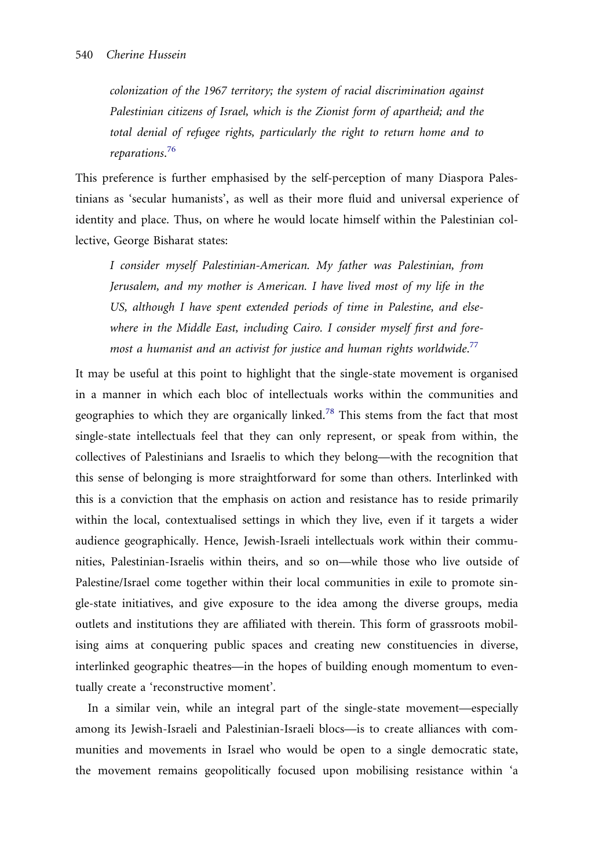colonization of the 1967 territory; the system of racial discrimination against Palestinian citizens of Israel, which is the Zionist form of apartheid; and the total denial of refugee rights, particularly the right to return home and to reparations. [76](#page-26-0)

This preference is further emphasised by the self-perception of many Diaspora Palestinians as 'secular humanists', as well as their more fluid and universal experience of identity and place. Thus, on where he would locate himself within the Palestinian collective, George Bisharat states:

I consider myself Palestinian-American. My father was Palestinian, from Jerusalem, and my mother is American. I have lived most of my life in the US, although I have spent extended periods of time in Palestine, and elsewhere in the Middle East, including Cairo. I consider myself first and fore-most a humanist and an activist for justice and human rights worldwide.<sup>[77](#page-26-0)</sup>

It may be useful at this point to highlight that the single-state movement is organised in a manner in which each bloc of intellectuals works within the communities and geographies to which they are organically linked.<sup>[78](#page-26-0)</sup> This stems from the fact that most single-state intellectuals feel that they can only represent, or speak from within, the collectives of Palestinians and Israelis to which they belong—with the recognition that this sense of belonging is more straightforward for some than others. Interlinked with this is a conviction that the emphasis on action and resistance has to reside primarily within the local, contextualised settings in which they live, even if it targets a wider audience geographically. Hence, Jewish-Israeli intellectuals work within their communities, Palestinian-Israelis within theirs, and so on—while those who live outside of Palestine/Israel come together within their local communities in exile to promote single-state initiatives, and give exposure to the idea among the diverse groups, media outlets and institutions they are affiliated with therein. This form of grassroots mobilising aims at conquering public spaces and creating new constituencies in diverse, interlinked geographic theatres—in the hopes of building enough momentum to eventually create a 'reconstructive moment'.

In a similar vein, while an integral part of the single-state movement—especially among its Jewish-Israeli and Palestinian-Israeli blocs—is to create alliances with communities and movements in Israel who would be open to a single democratic state, the movement remains geopolitically focused upon mobilising resistance within 'a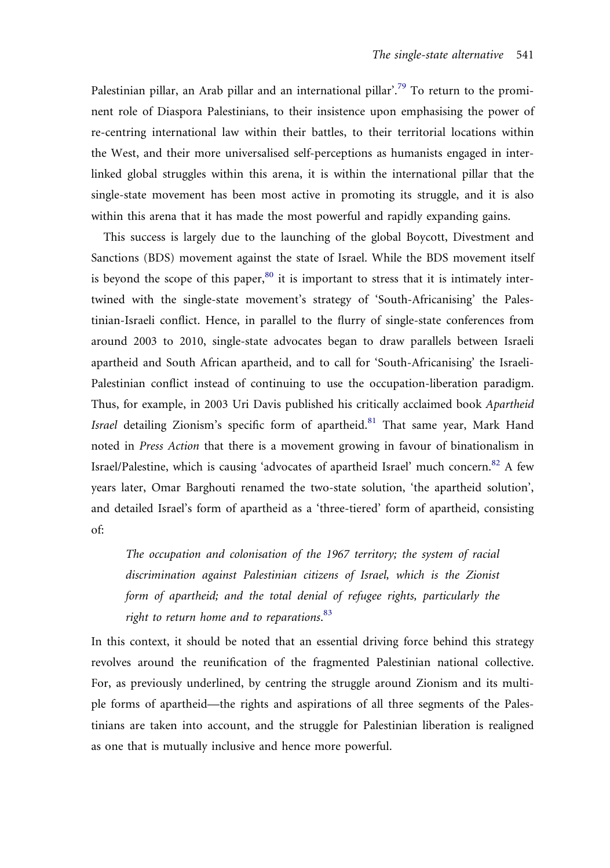Palestinian pillar, an Arab pillar and an international pillar'.<sup>[79](#page-26-0)</sup> To return to the prominent role of Diaspora Palestinians, to their insistence upon emphasising the power of re-centring international law within their battles, to their territorial locations within the West, and their more universalised self-perceptions as humanists engaged in interlinked global struggles within this arena, it is within the international pillar that the single-state movement has been most active in promoting its struggle, and it is also within this arena that it has made the most powerful and rapidly expanding gains.

This success is largely due to the launching of the global Boycott, Divestment and Sanctions (BDS) movement against the state of Israel. While the BDS movement itself is beyond the scope of this paper,  $80$  it is important to stress that it is intimately intertwined with the single-state movement's strategy of 'South-Africanising' the Palestinian-Israeli conflict. Hence, in parallel to the flurry of single-state conferences from around 2003 to 2010, single-state advocates began to draw parallels between Israeli apartheid and South African apartheid, and to call for 'South-Africanising' the Israeli-Palestinian conflict instead of continuing to use the occupation-liberation paradigm. Thus, for example, in 2003 Uri Davis published his critically acclaimed book Apartheid Israel detailing Zionism's specific form of apartheid. $81$  That same year, Mark Hand noted in Press Action that there is a movement growing in favour of binationalism in Israel/Palestine, which is causing 'advocates of apartheid Israel' much concern.<sup>[82](#page-26-0)</sup> A few years later, Omar Barghouti renamed the two-state solution, 'the apartheid solution', and detailed Israel's form of apartheid as a 'three-tiered' form of apartheid, consisting of:

The occupation and colonisation of the 1967 territory; the system of racial discrimination against Palestinian citizens of Israel, which is the Zionist form of apartheid; and the total denial of refugee rights, particularly the right to return home and to reparations.<sup>[83](#page-26-0)</sup>

In this context, it should be noted that an essential driving force behind this strategy revolves around the reunification of the fragmented Palestinian national collective. For, as previously underlined, by centring the struggle around Zionism and its multiple forms of apartheid—the rights and aspirations of all three segments of the Palestinians are taken into account, and the struggle for Palestinian liberation is realigned as one that is mutually inclusive and hence more powerful.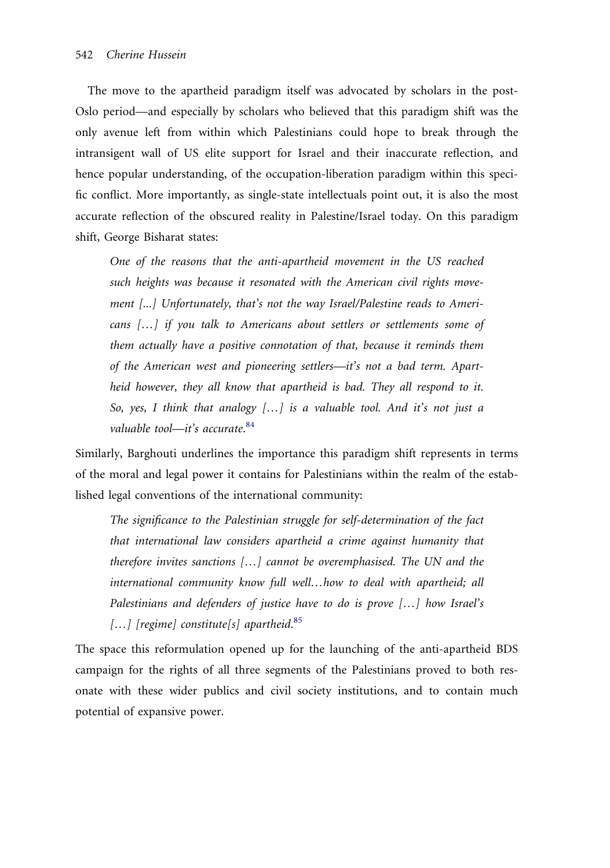The move to the apartheid paradigm itself was advocated by scholars in the post-Oslo period—and especially by scholars who believed that this paradigm shift was the only avenue left from within which Palestinians could hope to break through the intransigent wall of US elite support for Israel and their inaccurate reflection, and hence popular understanding, of the occupation-liberation paradigm within this specific conflict. More importantly, as single-state intellectuals point out, it is also the most accurate reflection of the obscured reality in Palestine/Israel today. On this paradigm shift, George Bisharat states:

One of the reasons that the anti-apartheid movement in the US reached such heights was because it resonated with the American civil rights movement [...] Unfortunately, that's not the way Israel/Palestine reads to Americans […] if you talk to Americans about settlers or settlements some of them actually have a positive connotation of that, because it reminds them of the American west and pioneering settlers—it's not a bad term. Apartheid however, they all know that apartheid is bad. They all respond to it. So, yes, I think that analogy […] is a valuable tool. And it's not just a valuable tool—it's accurate.<sup>[84](#page-26-0)</sup>

Similarly, Barghouti underlines the importance this paradigm shift represents in terms of the moral and legal power it contains for Palestinians within the realm of the established legal conventions of the international community:

The significance to the Palestinian struggle for self-determination of the fact that international law considers apartheid a crime against humanity that therefore invites sanctions […] cannot be overemphasised. The UN and the international community know full well…how to deal with apartheid; all Palestinians and defenders of justice have to do is prove […] how Israel's [...] [regime] constitute[s] apartheid.<sup>[85](#page-26-0)</sup>

The space this reformulation opened up for the launching of the anti-apartheid BDS campaign for the rights of all three segments of the Palestinians proved to both resonate with these wider publics and civil society institutions, and to contain much potential of expansive power.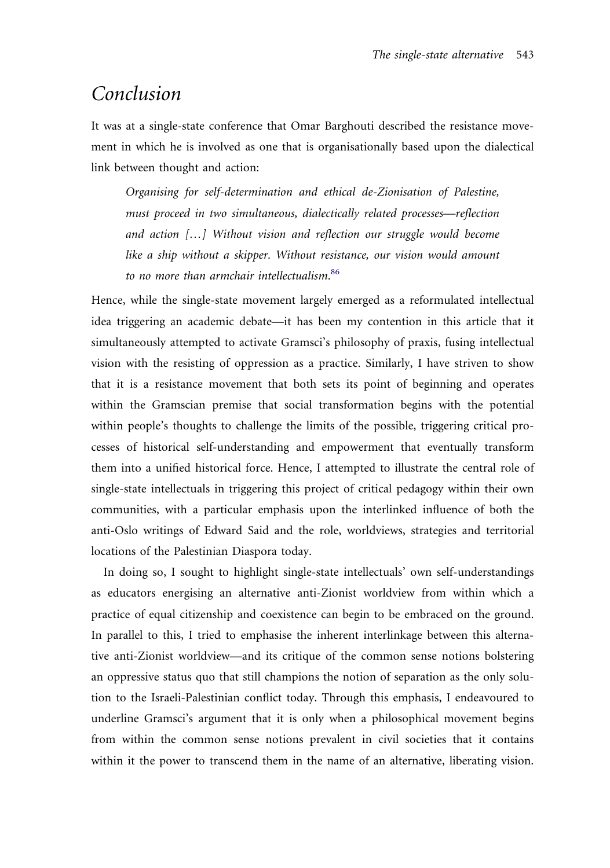#### Conclusion

It was at a single-state conference that Omar Barghouti described the resistance movement in which he is involved as one that is organisationally based upon the dialectical link between thought and action:

Organising for self-determination and ethical de-Zionisation of Palestine, must proceed in two simultaneous, dialectically related processes—reflection and action […] Without vision and reflection our struggle would become like a ship without a skipper. Without resistance, our vision would amount to no more than armchair intellectualism.<sup>[86](#page-26-0)</sup>

Hence, while the single-state movement largely emerged as a reformulated intellectual idea triggering an academic debate—it has been my contention in this article that it simultaneously attempted to activate Gramsci's philosophy of praxis, fusing intellectual vision with the resisting of oppression as a practice. Similarly, I have striven to show that it is a resistance movement that both sets its point of beginning and operates within the Gramscian premise that social transformation begins with the potential within people's thoughts to challenge the limits of the possible, triggering critical processes of historical self-understanding and empowerment that eventually transform them into a unified historical force. Hence, I attempted to illustrate the central role of single-state intellectuals in triggering this project of critical pedagogy within their own communities, with a particular emphasis upon the interlinked influence of both the anti-Oslo writings of Edward Said and the role, worldviews, strategies and territorial locations of the Palestinian Diaspora today.

In doing so, I sought to highlight single-state intellectuals' own self-understandings as educators energising an alternative anti-Zionist worldview from within which a practice of equal citizenship and coexistence can begin to be embraced on the ground. In parallel to this, I tried to emphasise the inherent interlinkage between this alternative anti-Zionist worldview—and its critique of the common sense notions bolstering an oppressive status quo that still champions the notion of separation as the only solution to the Israeli-Palestinian conflict today. Through this emphasis, I endeavoured to underline Gramsci's argument that it is only when a philosophical movement begins from within the common sense notions prevalent in civil societies that it contains within it the power to transcend them in the name of an alternative, liberating vision.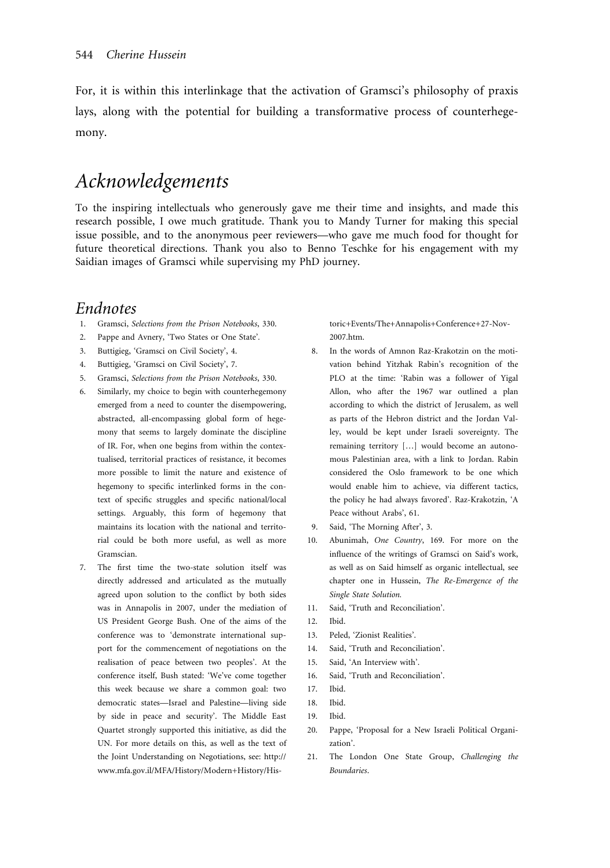<span id="page-24-0"></span>For, it is within this interlinkage that the activation of Gramsci's philosophy of praxis lays, along with the potential for building a transformative process of counterhegemony.

#### Acknowledgements

To the inspiring intellectuals who generously gave me their time and insights, and made this research possible, I owe much gratitude. Thank you to Mandy Turner for making this special issue possible, and to the anonymous peer reviewers—who gave me much food for thought for future theoretical directions. Thank you also to Benno Teschke for his engagement with my Saidian images of Gramsci while supervising my PhD journey.

#### Endnotes

- 1. Gramsci, Selections from the Prison Notebooks, 330.
- 2. Pappe and Avnery, 'Two States or One State'.
- 3. Buttigieg, 'Gramsci on Civil Society', 4.
- 4. Buttigieg, 'Gramsci on Civil Society', 7.
- 5. Gramsci, Selections from the Prison Notebooks, 330.
- 6. Similarly, my choice to begin with counterhegemony emerged from a need to counter the disempowering, abstracted, all-encompassing global form of hegemony that seems to largely dominate the discipline of IR. For, when one begins from within the contextualised, territorial practices of resistance, it becomes more possible to limit the nature and existence of hegemony to specific interlinked forms in the context of specific struggles and specific national/local settings. Arguably, this form of hegemony that maintains its location with the national and territorial could be both more useful, as well as more Gramscian.
- 7. The first time the two-state solution itself was directly addressed and articulated as the mutually agreed upon solution to the conflict by both sides was in Annapolis in 2007, under the mediation of US President George Bush. One of the aims of the conference was to 'demonstrate international support for the commencement of negotiations on the realisation of peace between two peoples'. At the conference itself, Bush stated: 'We've come together this week because we share a common goal: two democratic states—Israel and Palestine—living side by side in peace and security'. The Middle East Quartet strongly supported this initiative, as did the UN. For more details on this, as well as the text of the Joint Understanding on Negotiations, see: http:// www.mfa.gov.il/MFA/History/Modern+History/His-

toric+Events/The+Annapolis+Conference+27-Nov-2007.htm.

- 8. In the words of Amnon Raz-Krakotzin on the motivation behind Yitzhak Rabin's recognition of the PLO at the time: 'Rabin was a follower of Yigal Allon, who after the 1967 war outlined a plan according to which the district of Jerusalem, as well as parts of the Hebron district and the Jordan Valley, would be kept under Israeli sovereignty. The remaining territory […] would become an autonomous Palestinian area, with a link to Jordan. Rabin considered the Oslo framework to be one which would enable him to achieve, via different tactics, the policy he had always favored'. Raz-Krakotzin, 'A Peace without Arabs', 61.
- 9. Said, 'The Morning After', 3.
- 10. Abunimah, One Country, 169. For more on the influence of the writings of Gramsci on Said's work, as well as on Said himself as organic intellectual, see chapter one in Hussein, The Re-Emergence of the Single State Solution.
- 11. Said, 'Truth and Reconciliation'.
- 12. Ibid.
- 13. Peled, 'Zionist Realities'.
- 14. Said, 'Truth and Reconciliation'.
- 15. Said, 'An Interview with'.
- 16. Said, 'Truth and Reconciliation'.
- 17. Ibid.
- 18. Ibid.
- 19. Ibid.
- 20. Pappe, 'Proposal for a New Israeli Political Organization'.
- 21. The London One State Group, Challenging the Boundaries.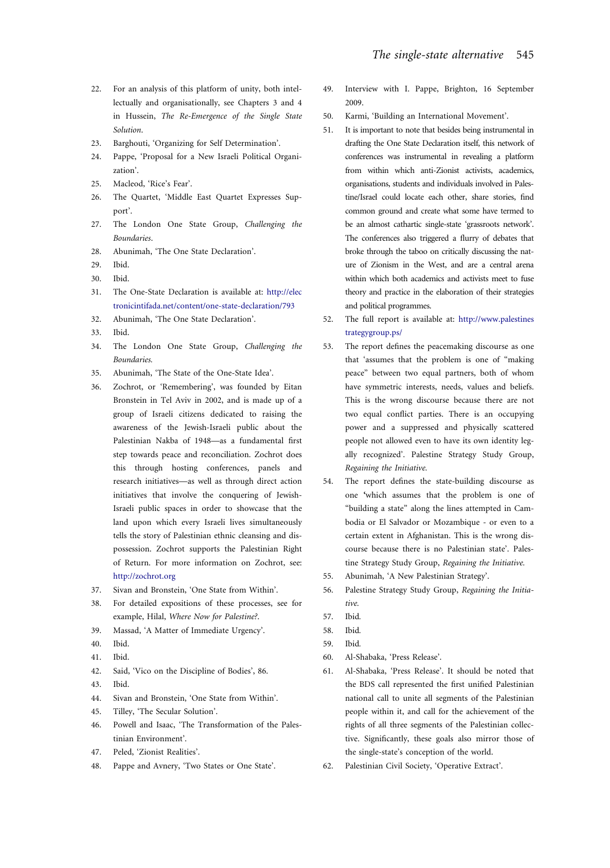- <span id="page-25-0"></span>in Hussein, The Re-Emergence of the Single State Solution.
- 23. Barghouti, 'Organizing for Self Determination'.
- 24. Pappe, 'Proposal for a New Israeli Political Organization'.
- 25. Macleod, 'Rice's Fear'.
- 26. The Quartet, 'Middle East Quartet Expresses Support'.
- 27. The London One State Group, Challenging the Boundaries.
- 28. Abunimah, 'The One State Declaration'.
- 29. Ibid.
- 30. Ibid.
- 31. The One-State Declaration is available at: [http://elec](http://electronicintifada.net/content/one-state-declaration/793) [tronicintifada.net/content/one-state-declaration/793](http://electronicintifada.net/content/one-state-declaration/793)
- 32. Abunimah, 'The One State Declaration'.
- 33. Ibid.
- 34. The London One State Group, Challenging the **Boundaries**
- 35. Abunimah, 'The State of the One-State Idea'.
- 36. Zochrot, or 'Remembering', was founded by Eitan Bronstein in Tel Aviv in 2002, and is made up of a group of Israeli citizens dedicated to raising the awareness of the Jewish-Israeli public about the Palestinian Nakba of 1948—as a fundamental first step towards peace and reconciliation. Zochrot does this through hosting conferences, panels and research initiatives—as well as through direct action initiatives that involve the conquering of Jewish-Israeli public spaces in order to showcase that the land upon which every Israeli lives simultaneously tells the story of Palestinian ethnic cleansing and dispossession. Zochrot supports the Palestinian Right of Return. For more information on Zochrot, see: <http://zochrot.org>
- 37. Sivan and Bronstein, 'One State from Within'.
- 38. For detailed expositions of these processes, see for example, Hilal, Where Now for Palestine?.
- 39. Massad, 'A Matter of Immediate Urgency'.
- 40. Ibid.
- 41. Ibid.
- 42. Said, 'Vico on the Discipline of Bodies', 86.
- 43. Ibid.
- 44. Sivan and Bronstein, 'One State from Within'.
- 45. Tilley, 'The Secular Solution'.
- 46. Powell and Isaac, 'The Transformation of the Palestinian Environment'.
- 47. Peled, 'Zionist Realities'.
- 48. Pappe and Avnery, 'Two States or One State'.
- 49. Interview with I. Pappe, Brighton, 16 September 2009.
- 50. Karmi, 'Building an International Movement'.
- 51. It is important to note that besides being instrumental in drafting the One State Declaration itself, this network of conferences was instrumental in revealing a platform from within which anti-Zionist activists, academics, organisations, students and individuals involved in Palestine/Israel could locate each other, share stories, find common ground and create what some have termed to be an almost cathartic single-state 'grassroots network'. The conferences also triggered a flurry of debates that broke through the taboo on critically discussing the nature of Zionism in the West, and are a central arena within which both academics and activists meet to fuse theory and practice in the elaboration of their strategies and political programmes.
- 52. The full report is available at: [http://www.palestines](http://www.palestinestrategygroup.ps/) [trategygroup.ps/](http://www.palestinestrategygroup.ps/)
- 53. The report defines the peacemaking discourse as one that 'assumes that the problem is one of "making peace" between two equal partners, both of whom have symmetric interests, needs, values and beliefs. This is the wrong discourse because there are not two equal conflict parties. There is an occupying power and a suppressed and physically scattered people not allowed even to have its own identity legally recognized'. Palestine Strategy Study Group, Regaining the Initiative.
- 54. The report defines the state-building discourse as one 'which assumes that the problem is one of "building a state" along the lines attempted in Cambodia or El Salvador or Mozambique - or even to a certain extent in Afghanistan. This is the wrong discourse because there is no Palestinian state'. Palestine Strategy Study Group, Regaining the Initiative.
- 55. Abunimah, 'A New Palestinian Strategy'.
- 56. Palestine Strategy Study Group, Regaining the Initiative.
- 57. Ibid.
- 58. Ibid.
- 59. Ibid.
- 60. Al-Shabaka, 'Press Release'.
- 61. Al-Shabaka, 'Press Release'. It should be noted that the BDS call represented the first unified Palestinian national call to unite all segments of the Palestinian people within it, and call for the achievement of the rights of all three segments of the Palestinian collective. Significantly, these goals also mirror those of the single-state's conception of the world.
- 62. Palestinian Civil Society, 'Operative Extract'.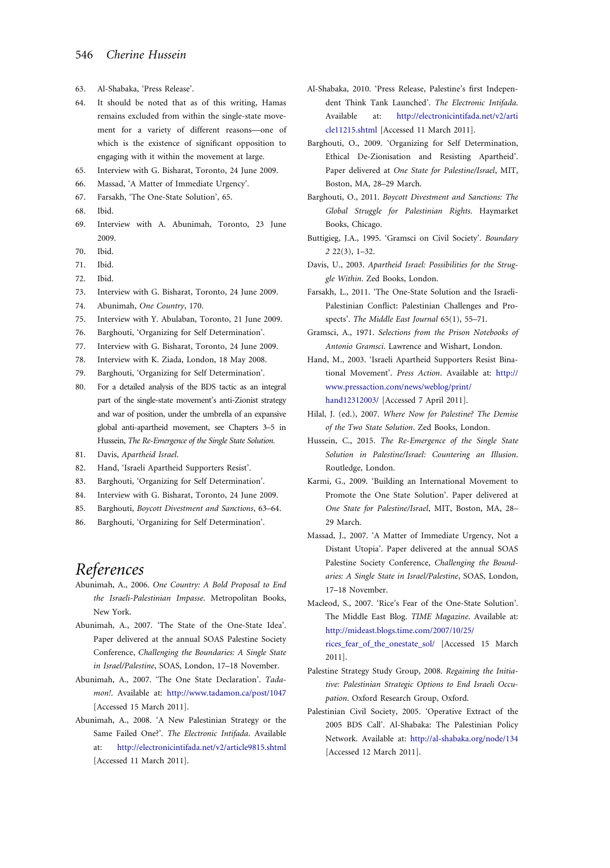- <span id="page-26-0"></span>63. Al-Shabaka, 'Press Release'.
- 64. It should be noted that as of this writing, Hamas remains excluded from within the single-state movement for a variety of different reasons—one of which is the existence of significant opposition to engaging with it within the movement at large.
- 65. Interview with G. Bisharat, Toronto, 24 June 2009.
- 66. Massad, 'A Matter of Immediate Urgency'.
- 67. Farsakh, 'The One-State Solution', 65.
- 68. Ibid.
- 69. Interview with A. Abunimah, Toronto, 23 June 2009.
- 70. Ibid.
- 71. Ibid.
- 72. Ibid.
- 73. Interview with G. Bisharat, Toronto, 24 June 2009.
- 74. Abunimah, One Country, 170.
- 75. Interview with Y. Abulaban, Toronto, 21 June 2009.
- 76. Barghouti, 'Organizing for Self Determination'.
- 77. Interview with G. Bisharat, Toronto, 24 June 2009.
- 78. Interview with K. Ziada, London, 18 May 2008.
- 79. Barghouti, 'Organizing for Self Determination'.
- 80. For a detailed analysis of the BDS tactic as an integral part of the single-state movement's anti-Zionist strategy and war of position, under the umbrella of an expansive global anti-apartheid movement, see Chapters 3–5 in Hussein, The Re-Emergence of the Single State Solution.
- 81. Davis, Apartheid Israel.
- 82. Hand, 'Israeli Apartheid Supporters Resist'.
- 83. Barghouti, 'Organizing for Self Determination'.
- 84. Interview with G. Bisharat, Toronto, 24 June 2009.
- 85. Barghouti, Boycott Divestment and Sanctions, 63–64.
- 86. Barghouti, 'Organizing for Self Determination'.

#### References

- Abunimah, A., 2006. One Country: A Bold Proposal to End the Israeli-Palestinian Impasse. Metropolitan Books, New York.
- Abunimah, A., 2007. 'The State of the One-State Idea'. Paper delivered at the annual SOAS Palestine Society Conference, Challenging the Boundaries: A Single State in Israel/Palestine, SOAS, London, 17–18 November.
- Abunimah, A., 2007. 'The One State Declaration'. Tadamon!. Available at: <http://www.tadamon.ca/post/1047> [Accessed 15 March 2011].
- Abunimah, A., 2008. 'A New Palestinian Strategy or the Same Failed One?'. The Electronic Intifada. Available at: <http://electronicintifada.net/v2/article9815.shtml> [Accessed 11 March 2011].
- Al-Shabaka, 2010. 'Press Release, Palestine's first Independent Think Tank Launched'. The Electronic Intifada. Available at: [http://electronicintifada.net/v2/arti](http://electronicintifada.net/v2/article11215.shtml) [cle11215.shtml](http://electronicintifada.net/v2/article11215.shtml) [Accessed 11 March 2011].
- Barghouti, O., 2009. 'Organizing for Self Determination, Ethical De-Zionisation and Resisting Apartheid'. Paper delivered at One State for Palestine/Israel, MIT, Boston, MA, 28–29 March.
- Barghouti, O., 2011. Boycott Divestment and Sanctions: The Global Struggle for Palestinian Rights. Haymarket Books, Chicago.
- Buttigieg, J.A., 1995. 'Gramsci on Civil Society'. Boundary 2 22(3), 1–32.
- Davis, U., 2003. Apartheid Israel: Possibilities for the Struggle Within. Zed Books, London.
- Farsakh, L., 2011. 'The One-State Solution and the Israeli-Palestinian Conflict: Palestinian Challenges and Prospects'. The Middle East Journal 65(1), 55–71.
- Gramsci, A., 1971. Selections from the Prison Notebooks of Antonio Gramsci. Lawrence and Wishart, London.
- Hand, M., 2003. 'Israeli Apartheid Supporters Resist Binational Movement'. Press Action. Available at: [http://](http://www.pressaction.com/news/weblog/print/hand12312003/) [www.pressaction.com/news/weblog/print/](http://www.pressaction.com/news/weblog/print/hand12312003/) [hand12312003/](http://www.pressaction.com/news/weblog/print/hand12312003/) [Accessed 7 April 2011].
- Hilal, J. (ed.), 2007. Where Now for Palestine? The Demise of the Two State Solution. Zed Books, London.
- Hussein, C., 2015. The Re-Emergence of the Single State Solution in Palestine/Israel: Countering an Illusion. Routledge, London.
- Karmi, G., 2009. 'Building an International Movement to Promote the One State Solution'. Paper delivered at One State for Palestine/Israel, MIT, Boston, MA, 28– 29 March.
- Massad, J., 2007. 'A Matter of Immediate Urgency, Not a Distant Utopia'. Paper delivered at the annual SOAS Palestine Society Conference, Challenging the Boundaries: A Single State in Israel/Palestine, SOAS, London, 17–18 November.
- Macleod, S., 2007. 'Rice's Fear of the One-State Solution'. The Middle East Blog. TIME Magazine. Available at: [http://mideast.blogs.time.com/2007/10/25/](http://mideast.blogs.time.com/2007/10/25/rices_fear_of_the_onestate_sol/) [rices\\_fear\\_of\\_the\\_onestate\\_sol/](http://mideast.blogs.time.com/2007/10/25/rices_fear_of_the_onestate_sol/) [Accessed 15 March
	- 2011].
- Palestine Strategy Study Group, 2008. Regaining the Initiative: Palestinian Strategic Options to End Israeli Occupation. Oxford Research Group, Oxford.
- Palestinian Civil Society, 2005. 'Operative Extract of the 2005 BDS Call'. Al-Shabaka: The Palestinian Policy Network. Available at: <http://al-shabaka.org/node/134> [Accessed 12 March 2011].